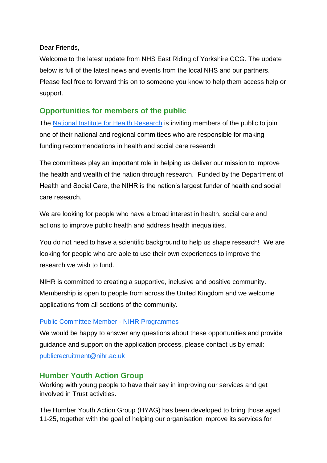Dear Friends,

Welcome to the latest update from NHS East Riding of Yorkshire CCG. The update below is full of the latest news and events from the local NHS and our partners. Please feel free to forward this on to someone you know to help them access help or support.

# **Opportunities for members of the public**

The [National Institute for Health Research](https://www.nihr.ac.uk/) is inviting members of the public to join one of their national and regional committees who are responsible for making funding recommendations in health and social care research

The committees play an important role in helping us deliver our mission to improve the health and wealth of the nation through research. Funded by the Department of Health and Social Care, the NIHR is the nation's largest funder of health and social care research.

We are looking for people who have a broad interest in health, social care and actions to improve public health and address health inequalities.

You do not need to have a scientific background to help us shape research! We are looking for people who are able to use their own experiences to improve the research we wish to fund.

NIHR is committed to creating a supportive, inclusive and positive community. Membership is open to people from across the United Kingdom and we welcome applications from all sections of the community.

#### [Public Committee Member -](https://www.nihr.ac.uk/committees/public/public-committee-member-nihr-programmes/30014) NIHR Programmes

We would be happy to answer any questions about these opportunities and provide guidance and support on the application process, please contact us by email: [publicrecruitment@nihr.ac.uk](mailto:publicrecruitment@nihr.ac.uk)

## **Humber Youth Action Group**

Working with young people to have their say in improving our services and get involved in Trust activities.

The Humber Youth Action Group (HYAG) has been developed to bring those aged 11-25, together with the goal of helping our organisation improve its services for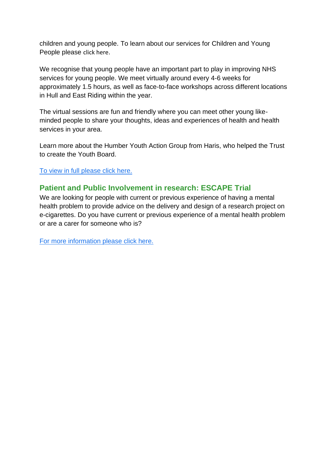children and young people. To learn about our services for Children and Young People please [click here](https://www.humber.nhs.uk/Get%20Involved/childrens-services-index.htm).

We recognise that young people have an important part to play in improving NHS services for young people. We meet virtually around every 4-6 weeks for approximately 1.5 hours, as well as face-to-face workshops across different locations in Hull and East Riding within the year.

The virtual sessions are fun and friendly where you can meet other young likeminded people to share your thoughts, ideas and experiences of health and health services in your area.

Learn more about the Humber Youth Action Group from Haris, who helped the Trust to create the Youth Board.

[To view in full please click here.](https://www.humber.nhs.uk/Get%20Involved/humber-youth-action-group.htm)

# **Patient and Public Involvement in research: ESCAPE Trial**

We are looking for people with current or previous experience of having a mental health problem to provide advice on the delivery and design of a research project on e-cigarettes. Do you have current or previous experience of a mental health problem or are a carer for someone who is?

[For more information please click here.](https://mcusercontent.com/402991abee2a92bc8177face8/files/0947fab9-9ed2-5e5c-a4d0-8197652465d8/ESCAPE_PPI_FLYER_FINAL_1_.pdf)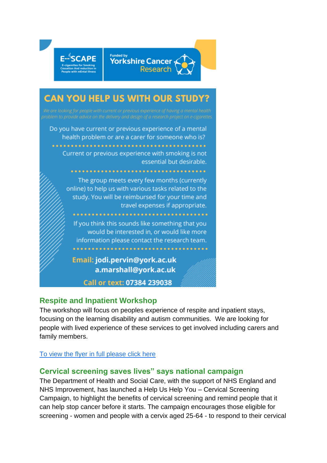

Call or text: 07384 239038

## **Respite and Inpatient Workshop**

The workshop will focus on peoples experience of respite and inpatient stays, focusing on the learning disability and autism communities. We are looking for people with lived experience of these services to get involved including carers and family members.

## [To view the flyer in full please click here](https://mcusercontent.com/402991abee2a92bc8177face8/files/a5f62907-74fd-a95b-dad7-ab8f0309feb6/respite_poster_.pptx)

## **Cervical screening saves lives" says national campaign**

The Department of Health and Social Care, with the support of NHS England and NHS Improvement, has launched a Help Us Help You – Cervical Screening Campaign, to highlight the benefits of cervical screening and remind people that it can help stop cancer before it starts. The campaign encourages those eligible for screening - women and people with a cervix aged 25-64 - to respond to their cervical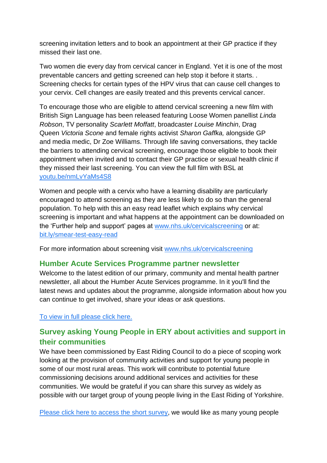screening invitation letters and to book an appointment at their GP practice if they missed their last one.

Two women die every day from cervical cancer in England. Yet it is one of the most preventable cancers and getting screened can help stop it before it starts. . Screening checks for certain types of the HPV virus that can cause cell changes to your cervix. Cell changes are easily treated and this prevents cervical cancer.

To encourage those who are eligible to attend cervical screening a new film with British Sign Language has been released featuring Loose Women panellist *Linda Robson*, TV personality *Scarlett Moffatt*, broadcaster *Louise Minchin*, Drag Queen *Victoria Scone* and female rights activist *Sharon Gaffka,* alongside GP and media medic, Dr Zoe Williams. Through life saving conversations, they tackle the barriers to attending cervical screening, encourage those eligible to book their appointment when invited and to contact their GP practice or sexual health clinic if they missed their last screening. You can view the full film with BSL at youtu.be/nmLvYaMs4S8

Women and people with a cervix who have a learning disability are particularly encouraged to attend screening as they are less likely to do so than the general population. To help with this an easy read leaflet which explains why cervical screening is important and what happens at the appointment can be downloaded on the 'Further help and support' pages at [www.nhs.uk/cervicalscreening](http://www.nhs.uk/cervicalscreening) or at: [bit.ly/smear-test-easy-read](https://eur03.safelinks.protection.outlook.com/?url=http%3A%2F%2Fbit.ly%2Fsmear-test-easy-read&data=04%7C01%7CSylvia.Epitropou%40dhsc.gov.uk%7C1f5cfb6568314b71c21408d9f6d6c50f%7C61278c3091a84c318c1fef4de8973a1c%7C1%7C0%7C637812224568795972%7CUnknown%7CTWFpbGZsb3d8eyJWIjoiMC4wLjAwMDAiLCJQIjoiV2luMzIiLCJBTiI6Ik1haWwiLCJXVCI6Mn0%3D%7C3000&sdata=yybnQfWAZrKAZuV7VNdFGaiQSAqaUXxI58ynlNzSFx0%3D&reserved=0)

For more information about screening visit [www.nhs.uk/cervicalscreening](http://www.nhs.uk/cervicalscreening)

## **Humber Acute Services Programme partner newsletter**

Welcome to the latest edition of our primary, community and mental health partner newsletter, all about the Humber Acute Services programme. In it you'll find the latest news and updates about the programme, alongside information about how you can continue to get involved, share your ideas or ask questions.

[To view in full please click here.](mailto:https://server.smartmailer.tractivity.co.uk/View.aspx?q=xJ37nwiu+gEeoFtWlXLj2JpFMNzKoFwoREZe160V6PG8MADSi6rWXsZ5ZTmBQlvU5SfZ6J5f1hKGcf8Vd71aPsHLlboBP2IqbIO7wSPvrCpy9zOxRblCe7fghWjYYBUvfwY3R1QW9ETExlwBAjCbmCxNdc4SRqr7UgI9X/u6IRU=)

# **Survey asking Young People in ERY about activities and support in their communities**

We have been commissioned by East Riding Council to do a piece of scoping work looking at the provision of community activities and support for young people in some of our most rural areas. This work will contribute to potential future commissioning decisions around additional services and activities for these communities. We would be grateful if you can share this survey as widely as possible with our target group of young people living in the East Riding of Yorkshire.

[Please click here to access](https://forms.gle/ax2EQMboqRTfZnww5) the short survey, we would like as many young people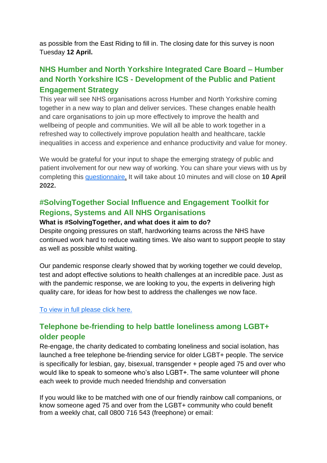as possible from the East Riding to fill in. The closing date for this survey is noon Tuesday **12 April.**

# **NHS Humber and North Yorkshire Integrated Care Board – Humber and North Yorkshire ICS - Development of the Public and Patient Engagement Strategy**

This year will see NHS organisations across Humber and North Yorkshire coming together in a new way to plan and deliver services. These changes enable health and care organisations to join up more effectively to improve the health and wellbeing of people and communities. We will all be able to work together in a refreshed way to collectively improve population health and healthcare, tackle inequalities in access and experience and enhance productivity and value for money.

We would be grateful for your input to shape the emerging strategy of public and patient involvement for our new way of working. You can share your views with us by completing this [questionnaire.](https://eu.surveymonkey.com/r/VV2K6RZ) It will take about 10 minutes and will close on **10 April 2022.**

## **#SolvingTogether Social Influence and Engagement Toolkit for Regions, Systems and All NHS Organisations**

#### **What is #SolvingTogether, and what does it aim to do?**

Despite ongoing pressures on staff, hardworking teams across the NHS have continued work hard to reduce waiting times. We also want to support people to stay as well as possible whilst waiting.

Our pandemic response clearly showed that by working together we could develop, test and adopt effective solutions to health challenges at an incredible pace. Just as with the pandemic response, we are looking to you, the experts in delivering high quality care, for ideas for how best to address the challenges we now face.

#### [To view in full please click here.](https://mcusercontent.com/402991abee2a92bc8177face8/files/1db0fa02-26de-aaa4-1802-12846a2dc955/_SolvingTogether_engagement_social_influence_regions_toolkit_v3_002_.docx)

## **Telephone be-friending to help battle loneliness among LGBT+ older people**

Re-engage, the charity dedicated to combating loneliness and social isolation, has launched a free telephone be-friending service for older LGBT+ people. The service is specifically for lesbian, gay, bisexual, transgender + people aged 75 and over who would like to speak to someone who's also LGBT+. The same volunteer will phone each week to provide much needed friendship and conversation

If you would like to be matched with one of our friendly rainbow call companions, or know someone aged 75 and over from the LGBT+ community who could benefit from a weekly chat, call 0800 716 543 (freephone) or email: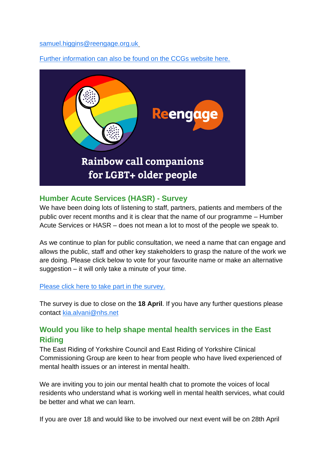[samuel.higgins@reengage.org.uk](mailto:samuel.higgins@reengage.org.uk)

Further information can also be found on the CCGs website here.



# **Humber Acute Services (HASR) - Survey**

We have been doing lots of listening to staff, partners, patients and members of the public over recent months and it is clear that the name of our programme – Humber Acute Services or HASR – does not mean a lot to most of the people we speak to.

As we continue to plan for public consultation, we need a name that can engage and allows the public, staff and other key stakeholders to grasp the nature of the work we are doing. Please click below to vote for your favourite name or make an alternative suggestion – it will only take a minute of your time.

#### Please click here [to take part in the survey.](https://humbernorthyorkshire.engage-360.co.uk/surveys/52)

The survey is due to close on the **18 April**. If you have any further questions please contact [kia.alvani@nhs.net](mailto:kia.alvani@nhs.net)

# **Would you like to help shape mental health services in the East Riding**

The East Riding of Yorkshire Council and East Riding of Yorkshire Clinical Commissioning Group are keen to hear from people who have lived experienced of mental health issues or an interest in mental health.

We are inviting you to join our mental health chat to promote the voices of local residents who understand what is working well in mental health services, what could be better and what we can learn.

If you are over 18 and would like to be involved our next event will be on 28th April